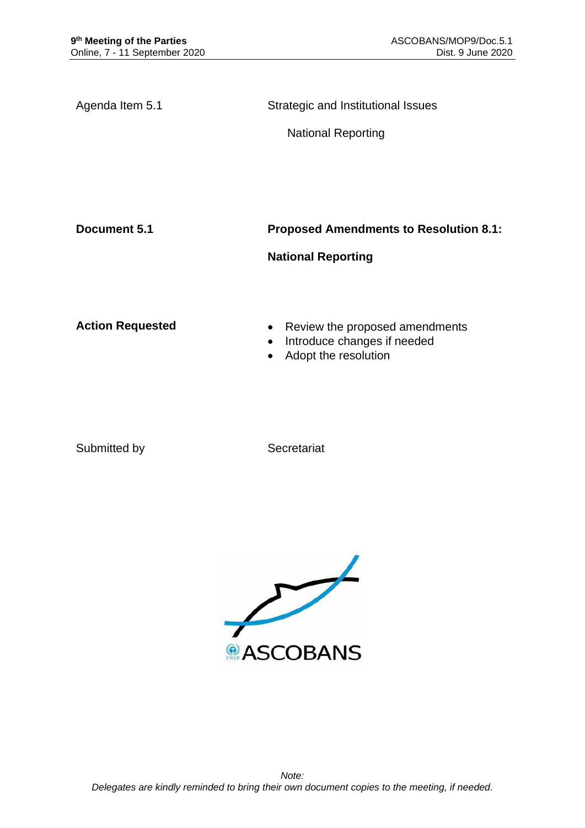Agenda Item 5.1 Strategic and Institutional Issues

National Reporting

**Document 5.1 Proposed Amendments to Resolution 8.1:** 

# **National Reporting**

- Action Requested **•** Review the proposed amendments
	- Introduce changes if needed
	- Adopt the resolution

Submitted by Secretariat

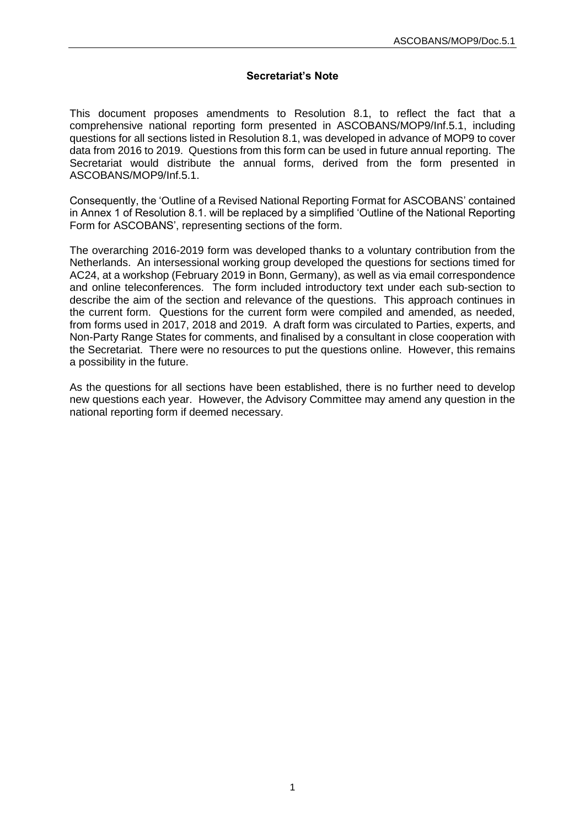### **Secretariat's Note**

This document proposes amendments to Resolution 8.1, to reflect the fact that a comprehensive national reporting form presented in ASCOBANS/MOP9/Inf.5.1, including questions for all sections listed in Resolution 8.1, was developed in advance of MOP9 to cover data from 2016 to 2019. Questions from this form can be used in future annual reporting. The Secretariat would distribute the annual forms, derived from the form presented in ASCOBANS/MOP9/Inf.5.1.

Consequently, the 'Outline of a Revised National Reporting Format for ASCOBANS' contained in Annex 1 of Resolution 8.1. will be replaced by a simplified 'Outline of the National Reporting Form for ASCOBANS', representing sections of the form.

The overarching 2016-2019 form was developed thanks to a voluntary contribution from the Netherlands. An intersessional working group developed the questions for sections timed for AC24, at a workshop (February 2019 in Bonn, Germany), as well as via email correspondence and online teleconferences. The form included introductory text under each sub-section to describe the aim of the section and relevance of the questions. This approach continues in the current form. Questions for the current form were compiled and amended, as needed, from forms used in 2017, 2018 and 2019. A draft form was circulated to Parties, experts, and Non-Party Range States for comments, and finalised by a consultant in close cooperation with the Secretariat. There were no resources to put the questions online. However, this remains a possibility in the future.

As the questions for all sections have been established, there is no further need to develop new questions each year. However, the Advisory Committee may amend any question in the national reporting form if deemed necessary.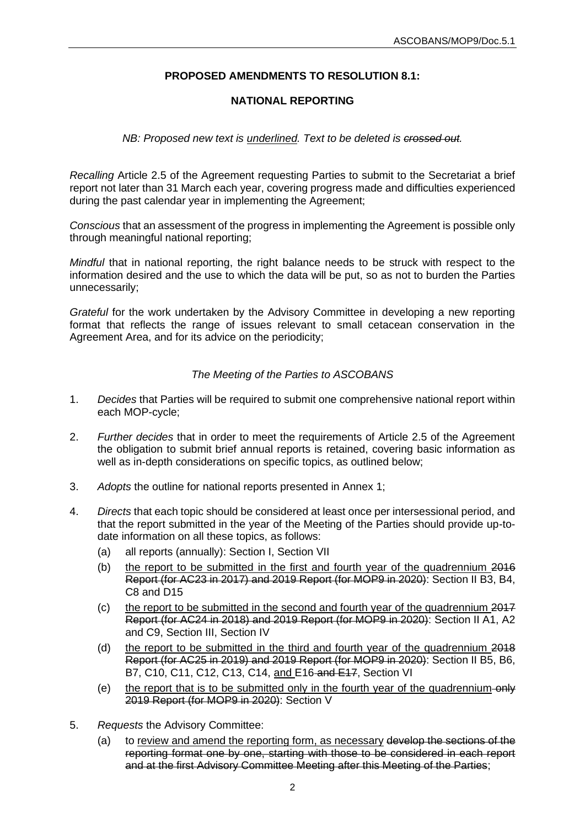# **PROPOSED AMENDMENTS TO RESOLUTION 8.1:**

### **NATIONAL REPORTING**

### *NB: Proposed new text is underlined. Text to be deleted is crossed out.*

*Recalling* Article 2.5 of the Agreement requesting Parties to submit to the Secretariat a brief report not later than 31 March each year, covering progress made and difficulties experienced during the past calendar year in implementing the Agreement;

*Conscious* that an assessment of the progress in implementing the Agreement is possible only through meaningful national reporting;

*Mindful* that in national reporting, the right balance needs to be struck with respect to the information desired and the use to which the data will be put, so as not to burden the Parties unnecessarily;

*Grateful* for the work undertaken by the Advisory Committee in developing a new reporting format that reflects the range of issues relevant to small cetacean conservation in the Agreement Area, and for its advice on the periodicity;

### *The Meeting of the Parties to ASCOBANS*

- 1. *Decides* that Parties will be required to submit one comprehensive national report within each MOP-cycle;
- 2. *Further decides* that in order to meet the requirements of Article 2.5 of the Agreement the obligation to submit brief annual reports is retained, covering basic information as well as in-depth considerations on specific topics, as outlined below;
- 3. *Adopts* the outline for national reports presented in Annex 1;
- 4. *Directs* that each topic should be considered at least once per intersessional period, and that the report submitted in the year of the Meeting of the Parties should provide up-todate information on all these topics, as follows:
	- (a) all reports (annually): Section I, Section VII
	- (b) the report to be submitted in the first and fourth year of the quadrennium 2016 Report (for AC23 in 2017) and 2019 Report (for MOP9 in 2020): Section II B3, B4, C8 and D15
	- (c) the report to be submitted in the second and fourth year of the quadrennium 2017 Report (for AC24 in 2018) and 2019 Report (for MOP9 in 2020): Section II A1, A2 and C9, Section III, Section IV
	- (d) the report to be submitted in the third and fourth year of the quadrennium 2018 Report (for AC25 in 2019) and 2019 Report (for MOP9 in 2020): Section II B5, B6, B7, C10, C11, C12, C13, C14, and E16 and E17, Section VI
	- (e) the report that is to be submitted only in the fourth year of the quadrennium  $\left\langle \Theta \right\rangle$ 2019 Report (for MOP9 in 2020): Section V
- 5. *Requests* the Advisory Committee:
	- (a) to review and amend the reporting form, as necessary develop the sections of the reporting format one by one, starting with those to be considered in each report and at the first Advisory Committee Meeting after this Meeting of the Parties;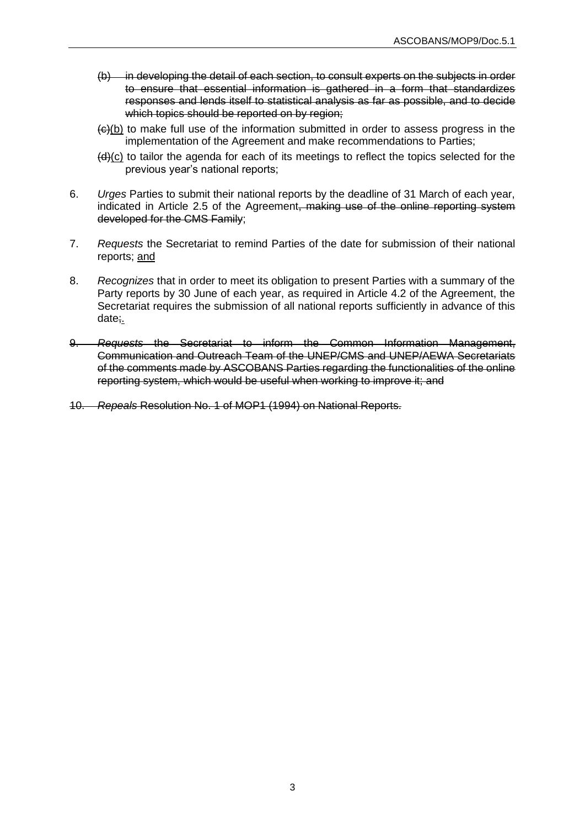- (b) in developing the detail of each section, to consult experts on the subjects in order to ensure that essential information is gathered in a form that standardizes responses and lends itself to statistical analysis as far as possible, and to decide which topics should be reported on by region;
- $\left\langle \Theta | b \right\rangle$  to make full use of the information submitted in order to assess progress in the implementation of the Agreement and make recommendations to Parties;
- (d)(c) to tailor the agenda for each of its meetings to reflect the topics selected for the previous year's national reports;
- 6. *Urges* Parties to submit their national reports by the deadline of 31 March of each year, indicated in Article 2.5 of the Agreement, making use of the online reporting system developed for the CMS Family;
- 7. *Requests* the Secretariat to remind Parties of the date for submission of their national reports; and
- 8. *Recognizes* that in order to meet its obligation to present Parties with a summary of the Party reports by 30 June of each year, as required in Article 4.2 of the Agreement, the Secretariat requires the submission of all national reports sufficiently in advance of this date;.
- 9. *Requests* the Secretariat to inform the Common Information Management, Communication and Outreach Team of the UNEP/CMS and UNEP/AEWA Secretariats of the comments made by ASCOBANS Parties regarding the functionalities of the online reporting system, which would be useful when working to improve it; and
- 10. *Repeals* Resolution No. 1 of MOP1 (1994) on National Reports.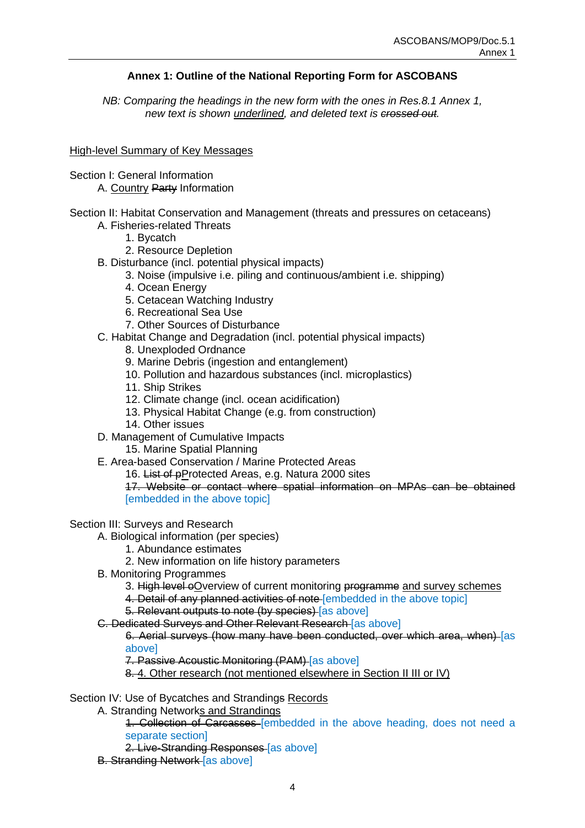## **Annex 1: Outline of the National Reporting Form for ASCOBANS**

*NB: Comparing the headings in the new form with the ones in Res.8.1 Annex 1, new text is shown underlined, and deleted text is crossed out.*

#### High-level Summary of Key Messages

- Section I: General Information
	- A. Country Party Information
- Section II: Habitat Conservation and Management (threats and pressures on cetaceans) A. Fisheries-related Threats
	- 1. Bycatch
	- 2. Resource Depletion
	- B. Disturbance (incl. potential physical impacts)
		- 3. Noise (impulsive i.e. piling and continuous/ambient i.e. shipping)
		- 4. Ocean Energy
		- 5. Cetacean Watching Industry
		- 6. Recreational Sea Use
		- 7. Other Sources of Disturbance
	- C. Habitat Change and Degradation (incl. potential physical impacts)
		- 8. Unexploded Ordnance
		- 9. Marine Debris (ingestion and entanglement)
		- 10. Pollution and hazardous substances (incl. microplastics)
		- 11. Ship Strikes
		- 12. Climate change (incl. ocean acidification)
		- 13. Physical Habitat Change (e.g. from construction)
		- 14. Other issues
	- D. Management of Cumulative Impacts
		- 15. Marine Spatial Planning
	- E. Area-based Conservation / Marine Protected Areas
		- 16. List of pProtected Areas, e.g. Natura 2000 sites

17. Website or contact where spatial information on MPAs can be obtained [embedded in the above topic]

#### Section III: Surveys and Research

- A. Biological information (per species)
	- 1. Abundance estimates
	- 2. New information on life history parameters
- B. Monitoring Programmes
	- 3. High level oOverview of current monitoring programme and survey schemes
	- 4. Detail of any planned activities of note [embedded in the above topic]
	- 5. Relevant outputs to note (by species) [as above]
- C. Dedicated Surveys and Other Relevant Research [as above]

6. Aerial surveys (how many have been conducted, over which area, when) [as above]

- 7. Passive Acoustic Monitoring (PAM) [as above]
- 8. 4. Other research (not mentioned elsewhere in Section II III or IV)

#### Section IV: Use of Bycatches and Strandings Records

A. Stranding Networks and Strandings

1. Collection of Carcasses [embedded in the above heading, does not need a separate section]

- 2. Live-Stranding Responses [as above]
- B. Stranding Network [as above]